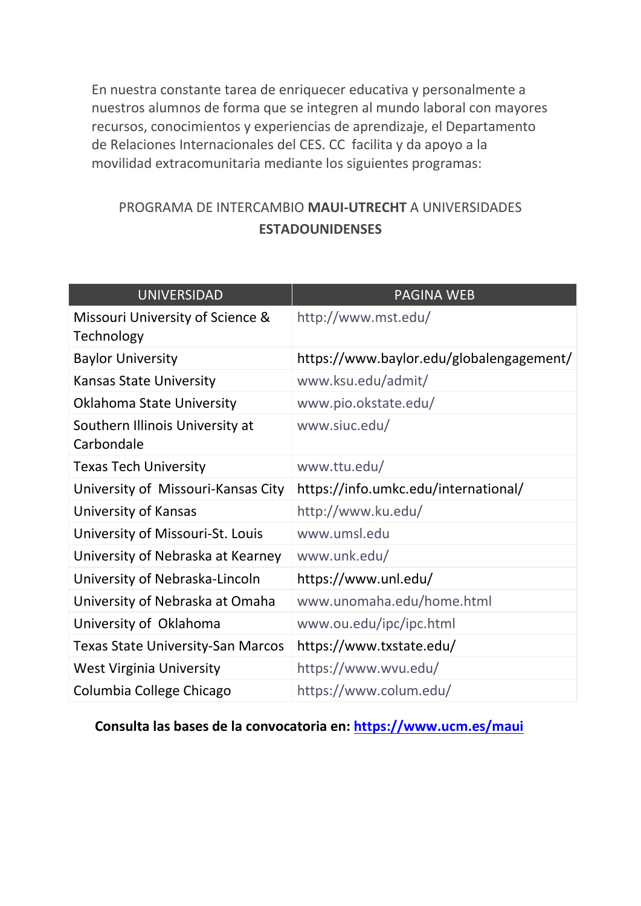En nuestra constante tarea de enriquecer educativa y personalmente a nuestros alumnos de forma que se integren al mundo laboral con mayores recursos, conocimientos y experiencias de aprendizaje, el Departamento de Relaciones Internacionales del CES. CC facilita y da apoyo a la movilidad extracomunitaria mediante los siguientes programas:

## PROGRAMA DE INTERCAMBIO **MAUI-UTRECHT** A UNIVERSIDADES **ESTADOUNIDENSES**

| <b>UNIVERSIDAD</b>                             | <b>PAGINA WEB</b>                        |
|------------------------------------------------|------------------------------------------|
| Missouri University of Science &<br>Technology | http://www.mst.edu/                      |
| <b>Baylor University</b>                       | https://www.baylor.edu/globalengagement/ |
| <b>Kansas State University</b>                 | www.ksu.edu/admit/                       |
| Oklahoma State University                      | www.pio.okstate.edu/                     |
| Southern Illinois University at<br>Carbondale  | www.siuc.edu/                            |
| <b>Texas Tech University</b>                   | www.ttu.edu/                             |
| University of Missouri-Kansas City             | https://info.umkc.edu/international/     |
| University of Kansas                           | http://www.ku.edu/                       |
| University of Missouri-St. Louis               | www.umsl.edu                             |
| University of Nebraska at Kearney              | www.unk.edu/                             |
| University of Nebraska-Lincoln                 | https://www.unl.edu/                     |
| University of Nebraska at Omaha                | www.unomaha.edu/home.html                |
| University of Oklahoma                         | www.ou.edu/ipc/ipc.html                  |
| <b>Texas State University-San Marcos</b>       | https://www.txstate.edu/                 |
| <b>West Virginia University</b>                | https://www.wvu.edu/                     |
| Columbia College Chicago                       | https://www.colum.edu/                   |

**Consulta las bases de la convocatoria en: <https://www.ucm.es/maui>**